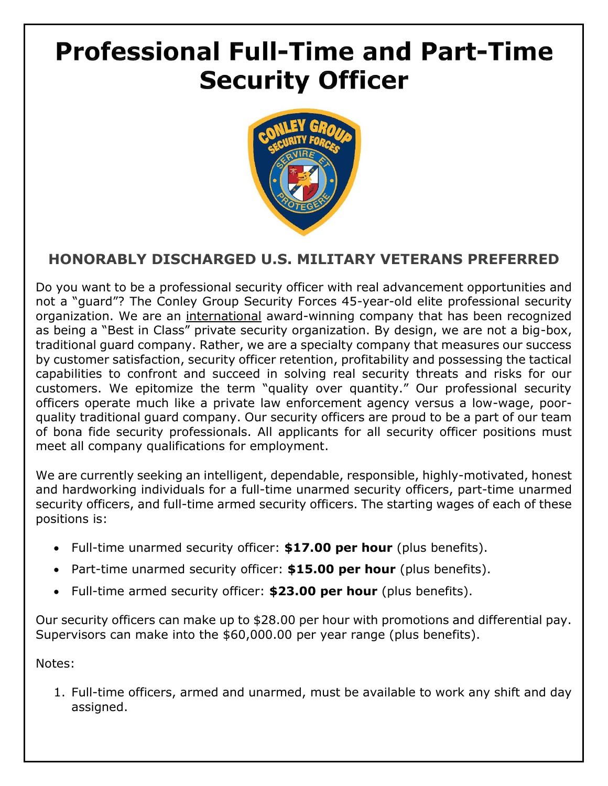## **Professional Full-Time and Part-Time Security Officer**



## **HONORABLY DISCHARGED U.S. MILITARY VETERANS PREFERRED**

Do you want to be a professional security officer with real advancement opportunities and not a "guard"? The Conley Group Security Forces 45-year-old elite professional security organization. We are an international award-winning company that has been recognized as being a "Best in Class" private security organization. By design, we are not a big-box, traditional guard company. Rather, we are a specialty company that measures our success by customer satisfaction, security officer retention, profitability and possessing the tactical capabilities to confront and succeed in solving real security threats and risks for our customers. We epitomize the term "quality over quantity." Our professional security officers operate much like a private law enforcement agency versus a low-wage, poorquality traditional guard company. Our security officers are proud to be a part of our team of bona fide security professionals. All applicants for all security officer positions must meet all company qualifications for employment.

We are currently seeking an intelligent, dependable, responsible, highly-motivated, honest and hardworking individuals for a full-time unarmed security officers, part-time unarmed security officers, and full-time armed security officers. The starting wages of each of these positions is:

- Full-time unarmed security officer: **\$17.00 per hour** (plus benefits).
- Part-time unarmed security officer: **\$15.00 per hour** (plus benefits).
- Full-time armed security officer: **\$23.00 per hour** (plus benefits).

Our security officers can make up to \$28.00 per hour with promotions and differential pay. Supervisors can make into the \$60,000.00 per year range (plus benefits).

Notes:

1. Full-time officers, armed and unarmed, must be available to work any shift and day assigned.